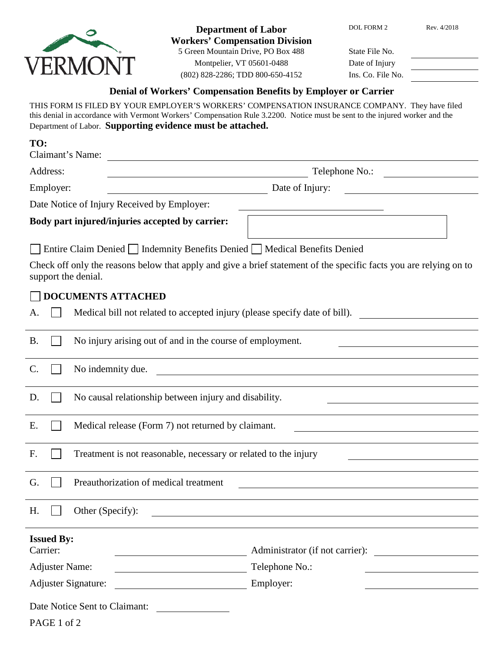

**Department of Labor** DOL FORM 2 Rev. 4/2018 **Workers' Compensation Division** 5 Green Mountain Drive, PO Box 488 State File No. Montpelier, VT 05601-0488

(802) 828-2286; TDD 800-650-4152 Ins. Co. File No.

| Date of Injury |                |
|----------------|----------------|
|                | Ins Co File No |

## **Denial of Workers' Compensation Benefits by Employer or Carrier**

THIS FORM IS FILED BY YOUR EMPLOYER'S WORKERS' COMPENSATION INSURANCE COMPANY. They have filed this denial in accordance with Vermont Workers' Compensation Rule 3.2200. Notice must be sent to the injured worker and the Department of Labor. **Supporting evidence must be attached.**

| TO:<br>Claimant's Name: |                                                                                                      |                                                                                                                    |  |  |  |
|-------------------------|------------------------------------------------------------------------------------------------------|--------------------------------------------------------------------------------------------------------------------|--|--|--|
| Address:                |                                                                                                      | Telephone No.:<br><u> 1980 - Johann Barbara, martin a</u>                                                          |  |  |  |
| Employer:               |                                                                                                      | Date of Injury:                                                                                                    |  |  |  |
|                         | Date Notice of Injury Received by Employer:                                                          |                                                                                                                    |  |  |  |
|                         | Body part injured/injuries accepted by carrier:                                                      |                                                                                                                    |  |  |  |
|                         | Entire Claim Denied   Indemnity Benefits Denied   Medical Benefits Denied                            |                                                                                                                    |  |  |  |
| support the denial.     |                                                                                                      | Check off only the reasons below that apply and give a brief statement of the specific facts you are relying on to |  |  |  |
|                         | <b>DOCUMENTS ATTACHED</b>                                                                            |                                                                                                                    |  |  |  |
| А.                      |                                                                                                      | Medical bill not related to accepted injury (please specify date of bill).                                         |  |  |  |
| <b>B.</b>               | No injury arising out of and in the course of employment.                                            |                                                                                                                    |  |  |  |
| $\mathcal{C}$ .         | No indemnity due.                                                                                    |                                                                                                                    |  |  |  |
| D.                      | No causal relationship between injury and disability.                                                |                                                                                                                    |  |  |  |
| E.                      | Medical release (Form 7) not returned by claimant.                                                   |                                                                                                                    |  |  |  |
| F.                      | Treatment is not reasonable, necessary or related to the injury                                      |                                                                                                                    |  |  |  |
|                         |                                                                                                      |                                                                                                                    |  |  |  |
| G.                      | Preauthorization of medical treatment                                                                |                                                                                                                    |  |  |  |
| H.                      | Other (Specify):                                                                                     |                                                                                                                    |  |  |  |
| <b>Issued By:</b>       |                                                                                                      |                                                                                                                    |  |  |  |
| Carrier:                |                                                                                                      | Administrator (if not carrier):                                                                                    |  |  |  |
| <b>Adjuster Name:</b>   |                                                                                                      | Telephone No.:                                                                                                     |  |  |  |
| Adjuster Signature:     |                                                                                                      | Employer:                                                                                                          |  |  |  |
|                         | Date Notice Sent to Claimant:<br>$\overline{\phantom{a}}$ . The contract of $\overline{\phantom{a}}$ |                                                                                                                    |  |  |  |
| PAGE 1 of 2             |                                                                                                      |                                                                                                                    |  |  |  |